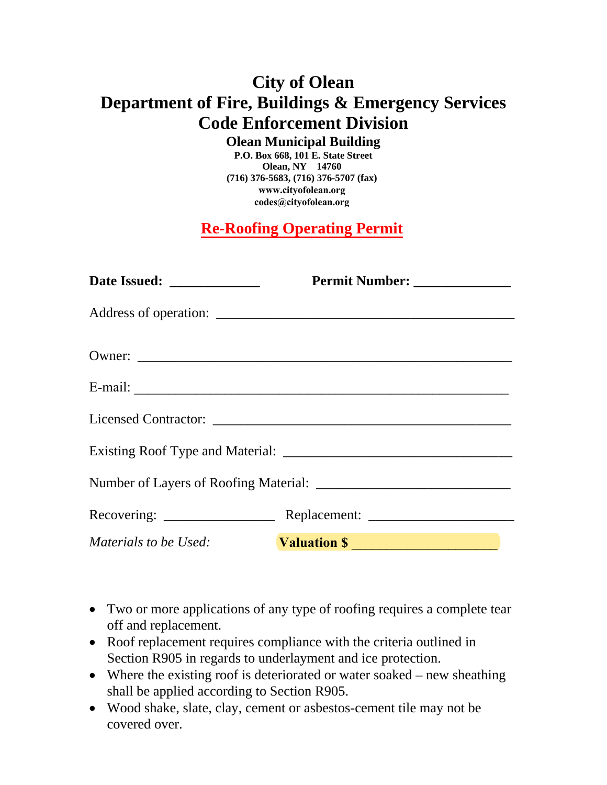## **City of Olean Department of Fire, Buildings & Emergency Services Code Enforcement Division**

**Olean Municipal Building** 

**P.O. Box 668, 101 E. State Street Olean, NY 14760 (716) 376-5683, (716) 376-5707 (fax) www.cityofolean.org codes@cityofolean.org**

**Re-Roofing Operating Permit**

|                       | Permit Number: ______________ |
|-----------------------|-------------------------------|
|                       |                               |
|                       |                               |
|                       |                               |
|                       |                               |
|                       |                               |
|                       |                               |
|                       |                               |
| Materials to be Used: | <b>Valuation S</b>            |

- Two or more applications of any type of roofing requires a complete tear off and replacement.
- Roof replacement requires compliance with the criteria outlined in Section R905 in regards to underlayment and ice protection.
- Where the existing roof is deteriorated or water soaked new sheathing shall be applied according to Section R905.
- Wood shake, slate, clay, cement or asbestos-cement tile may not be covered over.